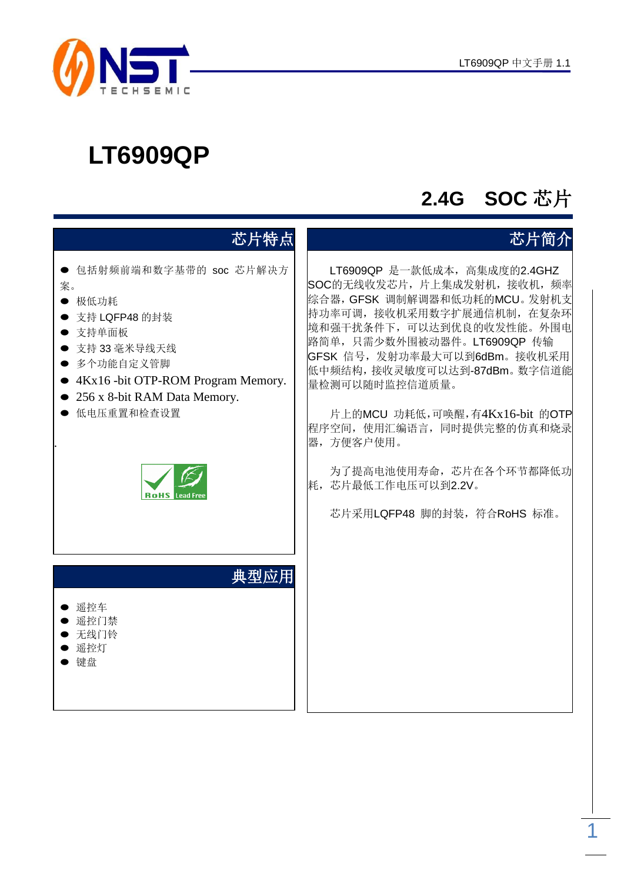

# **2.4G SOC** 芯片

| 芯片特点                                                                                                                                                                                                                            | 芯片简介                                                                                                                                                                                                                                                                                                                                                                                                                                  |
|---------------------------------------------------------------------------------------------------------------------------------------------------------------------------------------------------------------------------------|---------------------------------------------------------------------------------------------------------------------------------------------------------------------------------------------------------------------------------------------------------------------------------------------------------------------------------------------------------------------------------------------------------------------------------------|
| 包括射频前端和数字基带的 soc 芯片解决方<br>案。<br>极低功耗<br>支持 LQFP48 的封装<br>支持单面板<br>$\bullet$<br>支持 33 毫米导线天线<br>多个功能自定义管脚<br>4Kx16 -bit OTP-ROM Program Memory.<br>256 x 8-bit RAM Data Memory.<br>低电压重置和检查设置<br><b>RoHS</b><br><b>Lead Free</b> | LT6909QP 是一款低成本, 高集成度的2.4GHZ<br>SOC的无线收发芯片, 片上集成发射机, 接收机, 频率<br>综合器, GFSK 调制解调器和低功耗的MCU。发射机支<br>持功率可调, 接收机采用数字扩展通信机制, 在复杂环<br>境和强干扰条件下,可以达到优良的收发性能。外围电<br>路简单, 只需少数外围被动器件。LT6909QP 传输<br>GFSK 信号, 发射功率最大可以到6dBm。接收机采用<br>低中频结构, 接收灵敏度可以达到-87dBm。数字信道能<br>量检测可以随时监控信道质量。<br>片上的MCU 功耗低,可唤醒,有4Kx16-bit 的OTP<br>程序空间, 使用汇编语言, 同时提供完整的仿真和烧录<br>器,方便客户使用。<br>为了提高电池使用寿命, 芯片在各个环节都降低功<br>耗, 芯片最低工作电压可以到2.2V。<br>芯片采用LQFP48 脚的封装, 符合RoHS 标准。 |
| 典型应用<br>遥控车<br>遥控门禁<br>无线门铃<br>遥控灯<br>键盘                                                                                                                                                                                        |                                                                                                                                                                                                                                                                                                                                                                                                                                       |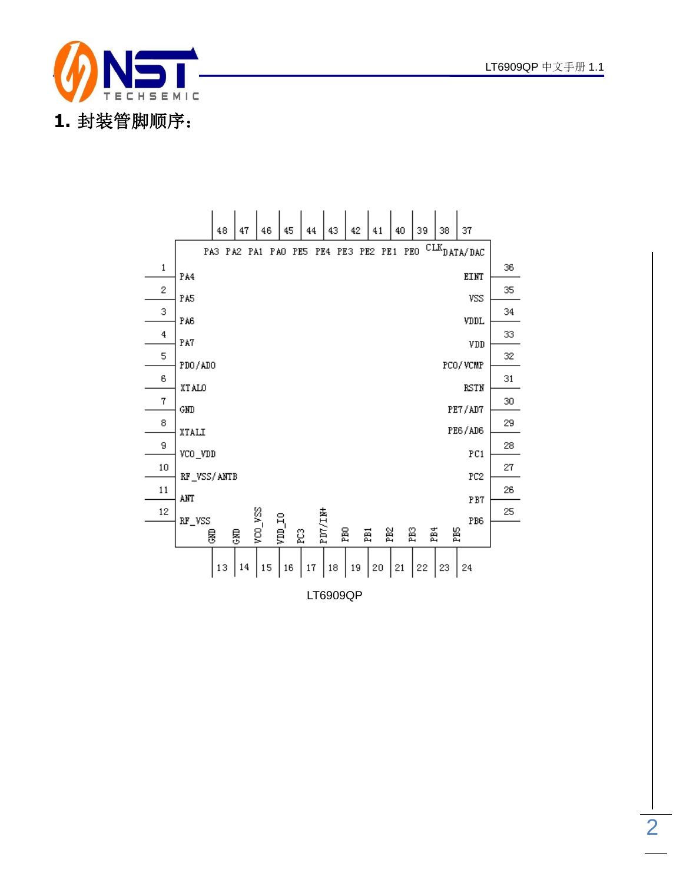



2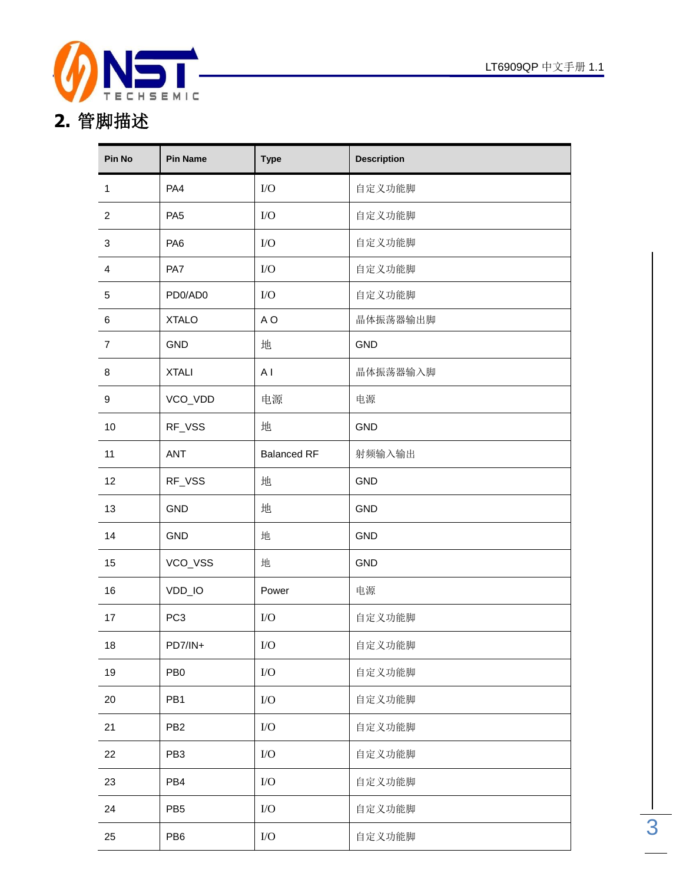

**2.** 管脚描述

| Pin No         | <b>Pin Name</b> | <b>Type</b>        | <b>Description</b> |
|----------------|-----------------|--------------------|--------------------|
| $\mathbf{1}$   | PA4             | I/O                | 自定义功能脚             |
| $\overline{2}$ | PA <sub>5</sub> | I/O                | 自定义功能脚             |
| $\sqrt{3}$     | PA <sub>6</sub> | I/O                | 自定义功能脚             |
| 4              | PA7             | I/O                | 自定义功能脚             |
| 5              | PD0/AD0         | $\rm LO$           | 自定义功能脚             |
| 6              | <b>XTALO</b>    | A O                | 晶体振荡器输出脚           |
| $\overline{7}$ | <b>GND</b>      | 地                  | <b>GND</b>         |
| 8              | <b>XTALI</b>    | A <sub>1</sub>     | 晶体振荡器输入脚           |
| 9              | VCO_VDD         | 电源                 | 电源                 |
| 10             | RF_VSS          | 地                  | <b>GND</b>         |
| 11             | <b>ANT</b>      | <b>Balanced RF</b> | 射频输入输出             |
| 12             | RF_VSS          | 地                  | <b>GND</b>         |
| 13             | GND             | 地                  | <b>GND</b>         |
| 14             | <b>GND</b>      | 地                  | <b>GND</b>         |
| 15             | VCO_VSS         | 地                  | <b>GND</b>         |
| 16             | VDD_IO          | Power              | 电源                 |
| 17             | PC <sub>3</sub> | I/O                | 自定义功能脚             |
| 18             | PD7/IN+         | ${\rm I/O}$        | 自定义功能脚             |
| 19             | PB <sub>0</sub> | $\rm LO$           | 自定义功能脚             |
| 20             | PB1             | $\rm I/O$          | 自定义功能脚             |
| 21             | PB <sub>2</sub> | I/O                | 自定义功能脚             |
| 22             | PB <sub>3</sub> | I/O                | 自定义功能脚             |
| 23             | PB4             | $\rm I/O$          | 自定义功能脚             |
| 24             | PB <sub>5</sub> | $\rm I/O$          | 自定义功能脚             |
| 25             | PB <sub>6</sub> | ${\rm I/O}$        | 自定义功能脚             |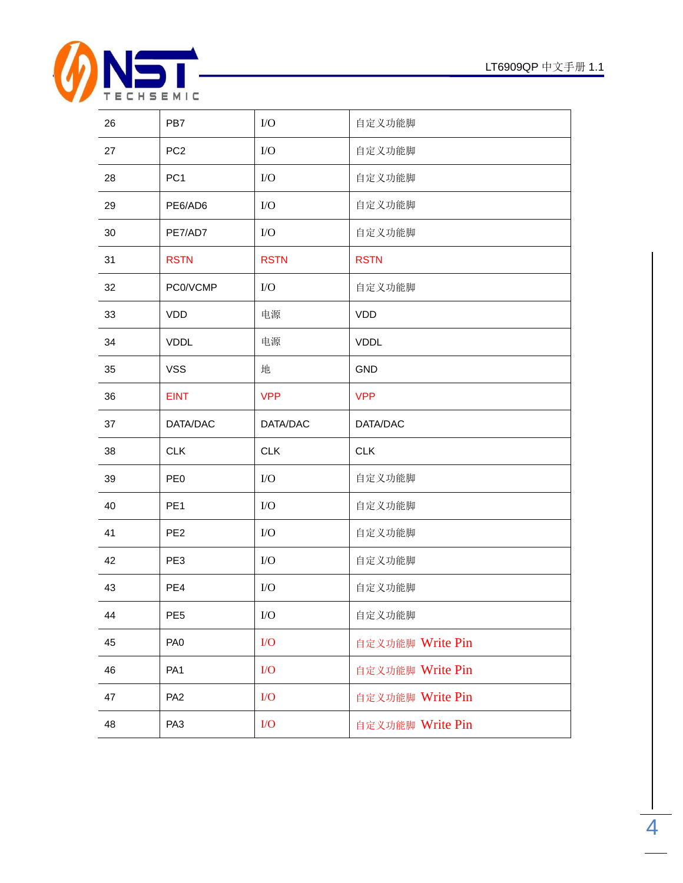

| 26 | PB7             | $\rm LO$    | 自定义功能脚           |
|----|-----------------|-------------|------------------|
| 27 | PC <sub>2</sub> | $\rm LO$    | 自定义功能脚           |
| 28 | PC <sub>1</sub> | $\rm LO$    | 自定义功能脚           |
| 29 | PE6/AD6         | $\rm LO$    | 自定义功能脚           |
| 30 | PE7/AD7         | $\rm LO$    | 自定义功能脚           |
| 31 | <b>RSTN</b>     | <b>RSTN</b> | <b>RSTN</b>      |
| 32 | PC0/VCMP        | $\rm LO$    | 自定义功能脚           |
| 33 | <b>VDD</b>      | 电源          | <b>VDD</b>       |
| 34 | <b>VDDL</b>     | 电源          | <b>VDDL</b>      |
| 35 | <b>VSS</b>      | 地           | <b>GND</b>       |
| 36 | <b>EINT</b>     | <b>VPP</b>  | <b>VPP</b>       |
| 37 | DATA/DAC        | DATA/DAC    | DATA/DAC         |
| 38 | <b>CLK</b>      | <b>CLK</b>  | <b>CLK</b>       |
| 39 | PE <sub>0</sub> | ${\rm I/O}$ | 自定义功能脚           |
| 40 | PE <sub>1</sub> | $\rm LO$    | 自定义功能脚           |
| 41 | PE <sub>2</sub> | $\rm LO$    | 自定义功能脚           |
| 42 | PE3             | $\rm LO$    | 自定义功能脚           |
| 43 | PE4             | $\rm LO$    | 自定义功能脚           |
| 44 | PE <sub>5</sub> | ${\rm I/O}$ | 自定义功能脚           |
| 45 | PA <sub>0</sub> | I/O         | 自定义功能脚 Write Pin |
| 46 | PA <sub>1</sub> | $\rm LO$    | 自定义功能脚 Write Pin |
| 47 |                 |             |                  |
|    | PA <sub>2</sub> | $\rm LO$    | 自定义功能脚 Write Pin |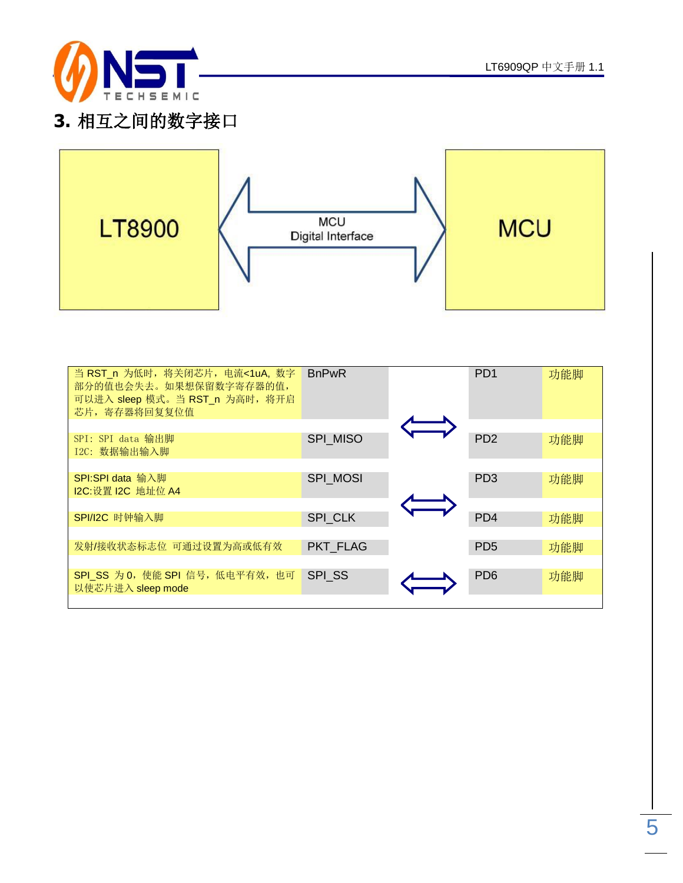

### **3.** 相互之间的数字接口



| 当 RST_n 为低时, 将关闭芯片, 电流<1uA, 数字<br>部分的值也会失去。如果想保留数字寄存器的值,<br>可以进入 sleep 模式。当 RST_n 为高时, 将开启<br>芯片, 寄存器将回复复位值 | <b>BnPwR</b>    | PD <sub>1</sub>             | 功能脚 |
|-------------------------------------------------------------------------------------------------------------|-----------------|-----------------------------|-----|
| SPI: SPI data 输出脚<br>I2C: 数据输出输入脚                                                                           | <b>SPI MISO</b> | P <sub>D</sub> <sub>2</sub> | 功能脚 |
| SPI:SPI data 输入脚<br>12C:设置 12C 地址位 A4                                                                       | <b>SPI MOSI</b> | PD <sub>3</sub>             | 功能脚 |
| SPI/I2C 时钟输入脚                                                                                               | SPI CLK         | PD <sub>4</sub>             | 功能脚 |
| 发射/接收状态标志位 可通过设置为高或低有效                                                                                      | <b>PKT FLAG</b> | PD <sub>5</sub>             | 功能脚 |
| SPI_SS 为 0, 使能 SPI 信号, 低电平有效, 也可<br>以使芯片进入 sleep mode                                                       | <b>SPI SS</b>   | P <sub>D</sub> <sub>6</sub> | 功能脚 |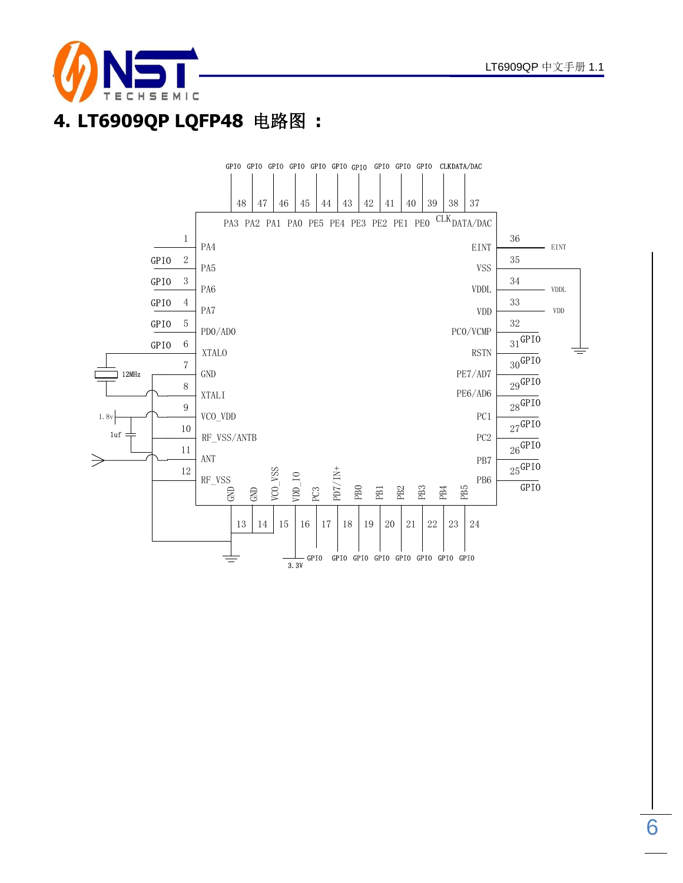

## **4. LT6909QP LQFP48** 电路图 **:**

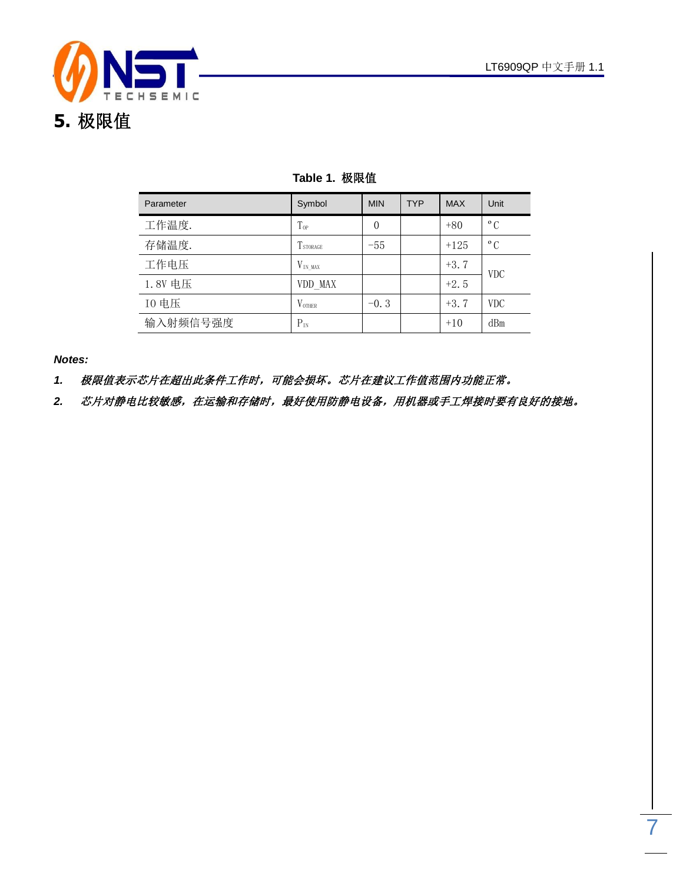

| Parameter | Symbol           | <b>MIN</b> | <b>TYP</b> | <b>MAX</b> | Unit         |
|-----------|------------------|------------|------------|------------|--------------|
| 工作温度.     | $T_{0P}$         | $\theta$   |            | $+80$      | $^{\circ}$ C |
| 存储温度.     | <b>T</b> STORAGE | $-55$      |            | $+125$     | $^{\circ}$ C |
| 工作电压      | $V_{IN MAX}$     |            |            | $+3.7$     | <b>VDC</b>   |
| 1.8V 电压   | VDD MAX          |            |            | $+2.5$     |              |
| 10 电压     | <b>VOTHER</b>    | $-0.3$     |            | $+3.7$     | <b>VDC</b>   |
| 输入射频信号强度  | $P_{IN}$         |            |            | $+10$      | dBm          |

#### **Table 1.** 极限值

*Notes:*

*1.* 极限值表示芯片在超出此条件工作时,可能会损坏。芯片在建议工作值范围内功能正常。

2. 芯片对静电比较敏感,在运输和存储时,最好使用防静电设备,用机器或手工焊接时要有良好的接地。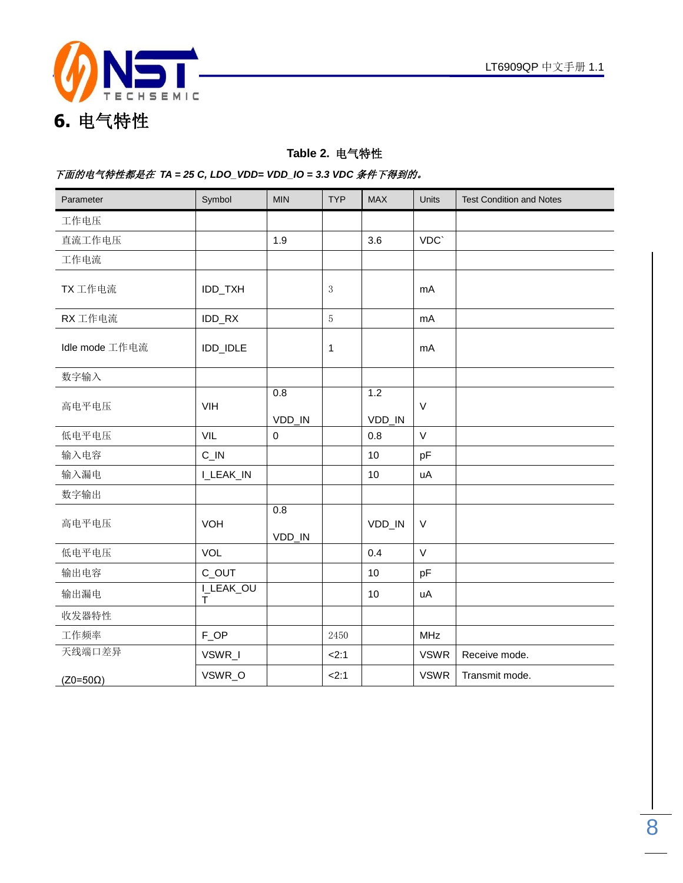

#### **Table 2.** 电气特性

#### 下面的电气特性都是在 *TA = 25 C, LDO\_VDD= VDD\_IO = 3.3 VDC* 条件下得到的。

| Parameter       | Symbol            | <b>MIN</b>    | <b>TYP</b>     | <b>MAX</b>    | Units       | <b>Test Condition and Notes</b> |
|-----------------|-------------------|---------------|----------------|---------------|-------------|---------------------------------|
| 工作电压            |                   |               |                |               |             |                                 |
| 直流工作电压          |                   | 1.9           |                | 3.6           | VDC`        |                                 |
| 工作电流            |                   |               |                |               |             |                                 |
| TX 工作电流         | IDD_TXH           |               | $\mathbf{3}$   |               | mA          |                                 |
| RX 工作电流         | IDD_RX            |               | $\overline{5}$ |               | mA          |                                 |
| Idle mode 工作电流  | IDD_IDLE          |               | 1              |               | mA          |                                 |
| 数字输入            |                   |               |                |               |             |                                 |
| 高电平电压           | VIH               | 0.8<br>VDD_IN |                | 1.2<br>VDD_IN | $\vee$      |                                 |
| 低电平电压           | VIL               | $\mathbf 0$   |                | 0.8           | V           |                                 |
| 输入电容            | $C$ <sub>IN</sub> |               |                | 10            | pF          |                                 |
| 输入漏电            | I_LEAK_IN         |               |                | 10            | uA          |                                 |
| 数字输出            |                   |               |                |               |             |                                 |
| 高电平电压           | VOH               | 0.8<br>VDD_IN |                | VDD_IN        | V           |                                 |
| 低电平电压           | VOL               |               |                | 0.4           | $\vee$      |                                 |
| 输出电容            | C_OUT             |               |                | 10            | pF          |                                 |
| 输出漏电            | I_LEAK_OU<br>Τ    |               |                | 10            | uA          |                                 |
| 收发器特性           |                   |               |                |               |             |                                 |
| 工作频率            | F_OP              |               | 2450           |               | <b>MHz</b>  |                                 |
| 天线端口差异          | VSWR_I            |               | 2:1            |               | <b>VSWR</b> | Receive mode.                   |
| $(Z0=50\Omega)$ | VSWR_O            |               | 2:1            |               | <b>VSWR</b> | Transmit mode.                  |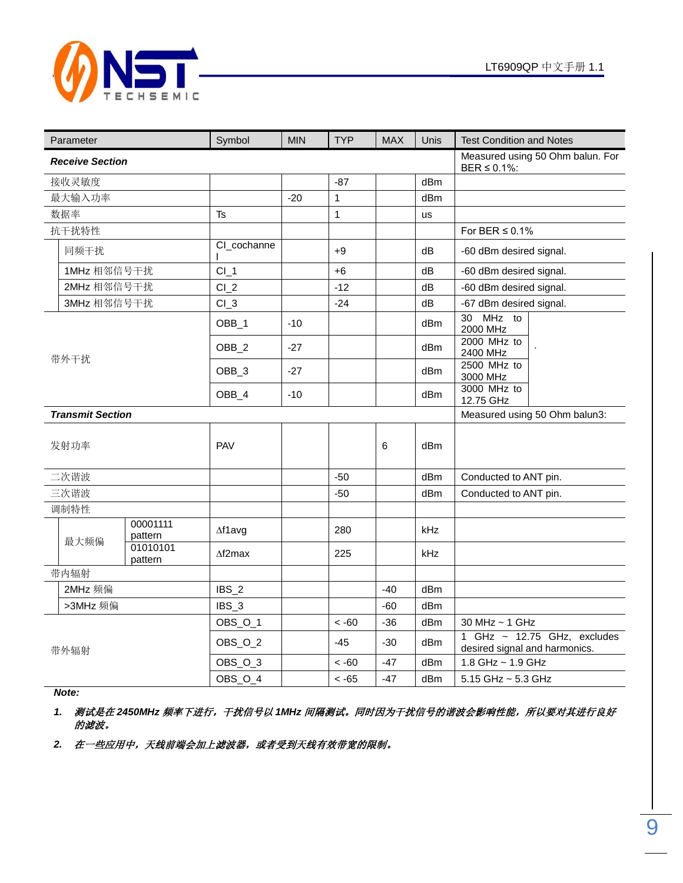

|  | Parameter               |                     | Symbol           | <b>MIN</b> | <b>TYP</b>     | <b>MAX</b> | Unis               | <b>Test Condition and Notes</b>                                   |
|--|-------------------------|---------------------|------------------|------------|----------------|------------|--------------------|-------------------------------------------------------------------|
|  | <b>Receive Section</b>  |                     |                  |            |                |            |                    | Measured using 50 Ohm balun. For<br>BER $\leq$ 0.1%:              |
|  | 接收灵敏度                   |                     |                  |            | $-87$          |            | dBm                |                                                                   |
|  | 最大输入功率                  |                     |                  | $-20$      | $\overline{1}$ |            | dBm                |                                                                   |
|  | 数据率                     |                     | Ts               |            | $\mathbf{1}$   |            | us                 |                                                                   |
|  | 抗干扰特性                   |                     |                  |            |                |            |                    | For BER $\leq$ 0.1%                                               |
|  | 同频干扰                    |                     | CI_cochanne      |            | $+9$           |            | dB                 | -60 dBm desired signal.                                           |
|  | 1MHz 相邻信号干扰             |                     | $CI_1$           |            | $+6$           |            | dB                 | -60 dBm desired signal.                                           |
|  | 2MHz 相邻信号干扰             |                     | $Cl_2$           |            | $-12$          |            | dB                 | -60 dBm desired signal.                                           |
|  | 3MHz 相邻信号干扰             |                     | $CI_3$           |            | $-24$          |            | dB                 | -67 dBm desired signal.                                           |
|  |                         |                     | OBB_1            | $-10$      |                |            | dBm                | MHz to<br>30<br>2000 MHz                                          |
|  | 带外干扰                    |                     | OBB_2            | $-27$      |                |            | dBm                | 2000 MHz to<br>2400 MHz                                           |
|  |                         |                     | OBB_3            | $-27$      |                |            | dBm                | 2500 MHz to<br>3000 MHz                                           |
|  |                         |                     | OBB_4            | $-10$      |                |            | dBm                | 3000 MHz to<br>12.75 GHz                                          |
|  | <b>Transmit Section</b> |                     |                  |            |                |            |                    | Measured using 50 Ohm balun3:                                     |
|  | 发射功率                    |                     | PAV              |            |                | 6          | dBm                |                                                                   |
|  | 二次谐波                    |                     |                  |            | $-50$          |            | dBm                | Conducted to ANT pin.                                             |
|  | 三次谐波                    |                     |                  |            | $-50$          |            | dBm                | Conducted to ANT pin.                                             |
|  | 调制特性                    |                     |                  |            |                |            |                    |                                                                   |
|  | 最大频偏                    | 00001111<br>pattern | $\Delta$ f1avg   |            | 280            |            | kHz                |                                                                   |
|  |                         | 01010101<br>pattern | $\Delta f2$ max  |            | 225            |            | kHz                |                                                                   |
|  | 带内辐射                    |                     |                  |            |                |            |                    |                                                                   |
|  | 2MHz 频偏                 |                     | IBS <sub>2</sub> |            |                | $-40$      | dBm                |                                                                   |
|  | >3MHz 频偏                |                     | IBS <sub>3</sub> |            |                | $-60$      | dBm                |                                                                   |
|  |                         |                     | OBS_O_1          |            | $~<$ -60       | $-36$      | dBm                | 30 MHz ~ 1 GHz                                                    |
|  | 带外辐射                    |                     | OBS_O_2          |            | $-45$          | -30        | dBm                | 1 GHz $\sim$ 12.75 GHz, excludes<br>desired signal and harmonics. |
|  |                         |                     | OBS_O_3          |            | $~<$ -60       | $-47$      | dBm                | 1.8 GHz ~ 1.9 GHz                                                 |
|  |                         | OBS_O_4             |                  | $< -65$    | $-47$          | dBm        | 5.15 GHz ~ 5.3 GHz |                                                                   |

*Note:* 

1. 测试是在 2450MHz 频率下进行, 干扰信号以 1MHz 间隔测试。同时因为干扰信号的谐波会影响性能, 所以要对其进行良好 的滤波。

2. 在一些应用中,天线前端会加上滤波器,或者受到天线有效带宽的限制。